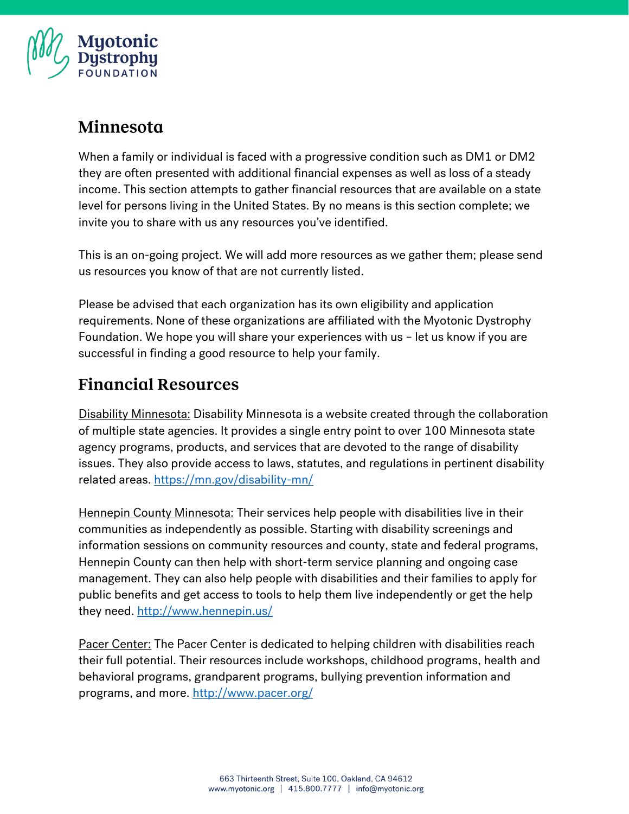

#### Minnesota

When a family or individual is faced with a progressive condition such as DM1 or DM2 they are often presented with additional financial expenses as well as loss of a steady income. This section attempts to gather financial resources that are available on a state level for persons living in the United States. By no means is this section complete; we invite you to share with us any resources you've identified.

This is an on-going project. We will add more resources as we gather them; please send us resources you know of that are not currently listed.

Please be advised that each organization has its own eligibility and application requirements. None of these organizations are affiliated with the Myotonic Dystrophy Foundation. We hope you will share your experiences with us – let us know if you are successful in finding a good resource to help your family.

# **Financial Resources**

Disability Minnesota: Disability Minnesota is a website created through the collaboration of multiple state agencies. It provides a single entry point to over 100 Minnesota state agency programs, products, and services that are devoted to the range of disability issues. They also provide access to laws, statutes, and regulations in pertinent disability related areas.<https://mn.gov/disability-mn/>

Hennepin County Minnesota: Their services help people with disabilities live in their communities as independently as possible. Starting with disability screenings and information sessions on community resources and county, state and federal programs, Hennepin County can then help with short-term service planning and ongoing case management. They can also help people with disabilities and their families to apply for public benefits and get access to tools to help them live independently or get the help they need.<http://www.hennepin.us/>

Pacer Center: The Pacer Center is dedicated to helping children with disabilities reach their full potential. Their resources include workshops, childhood programs, health and behavioral programs, grandparent programs, bullying prevention information and programs, and more.<http://www.pacer.org/>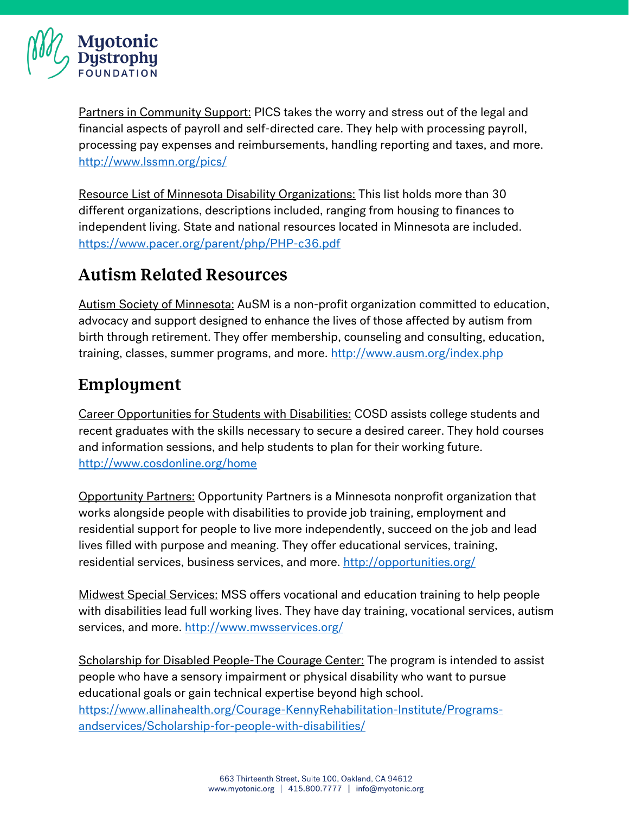

Partners in Community Support: PICS takes the worry and stress out of the legal and financial aspects of payroll and self-directed care. They help with processing payroll, processing pay expenses and reimbursements, handling reporting and taxes, and more. <http://www.lssmn.org/pics/>

Resource List of Minnesota Disability Organizations: This list holds more than 30 different organizations, descriptions included, ranging from housing to finances to independent living. State and national resources located in Minnesota are included. <https://www.pacer.org/parent/php/PHP-c36.pdf>

## **Autism Related Resources**

Autism Society of Minnesota: AuSM is a non-profit organization committed to education, advocacy and support designed to enhance the lives of those affected by autism from birth through retirement. They offer membership, counseling and consulting, education, training, classes, summer programs, and more.<http://www.ausm.org/index.php>

## Employment

Career Opportunities for Students with Disabilities: COSD assists college students and recent graduates with the skills necessary to secure a desired career. They hold courses and information sessions, and help students to plan for their working future. <http://www.cosdonline.org/home>

Opportunity Partners: Opportunity Partners is a Minnesota nonprofit organization that works alongside people with disabilities to provide job training, employment and residential support for people to live more independently, succeed on the job and lead lives filled with purpose and meaning. They offer educational services, training, residential services, business services, and more.<http://opportunities.org/>

Midwest Special Services: MSS offers vocational and education training to help people with disabilities lead full working lives. They have day training, vocational services, autism services, and more.<http://www.mwsservices.org/>

Scholarship for Disabled People-The Courage Center: The program is intended to assist people who have a sensory impairment or physical disability who want to pursue educational goals or gain technical expertise beyond high school. [https://www.allinahealth.org/Courage-KennyRehabilitation-Institute/Programs](https://www.allinahealth.org/Courage-KennyRehabilitation-Institute/Programs-andservices/Scholarship-for-people-with-disabilities/)[andservices/Scholarship-for-people-with-disabilities/](https://www.allinahealth.org/Courage-KennyRehabilitation-Institute/Programs-andservices/Scholarship-for-people-with-disabilities/)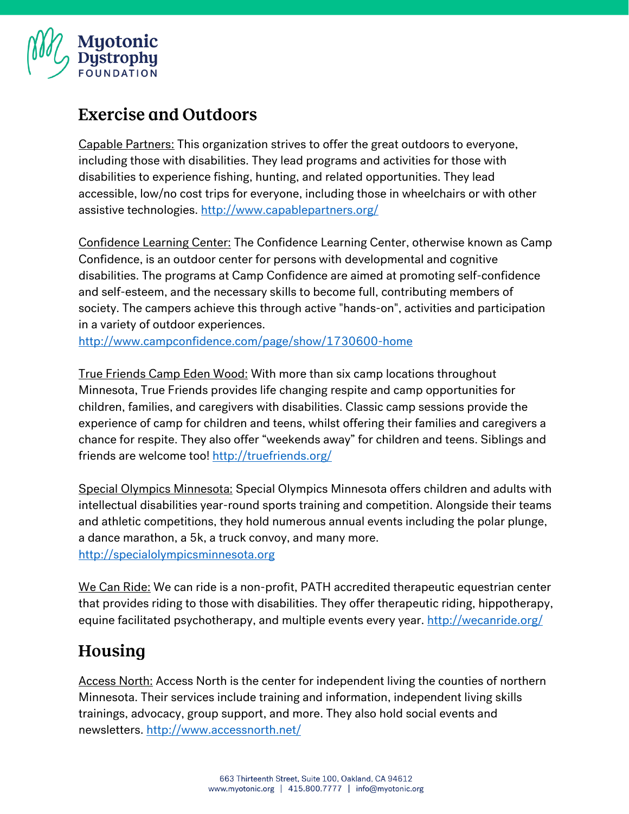

# **Exercise and Outdoors**

Capable Partners: This organization strives to offer the great outdoors to everyone, including those with disabilities. They lead programs and activities for those with disabilities to experience fishing, hunting, and related opportunities. They lead accessible, low/no cost trips for everyone, including those in wheelchairs or with other assistive technologies.<http://www.capablepartners.org/>

Confidence Learning Center: The Confidence Learning Center, otherwise known as Camp Confidence, is an outdoor center for persons with developmental and cognitive disabilities. The programs at Camp Confidence are aimed at promoting self-confidence and self-esteem, and the necessary skills to become full, contributing members of society. The campers achieve this through active "hands-on", activities and participation in a variety of outdoor experiences.

<http://www.campconfidence.com/page/show/1730600-home>

True Friends Camp Eden Wood: With more than six camp locations throughout Minnesota, True Friends provides life changing respite and camp opportunities for children, families, and caregivers with disabilities. Classic camp sessions provide the experience of camp for children and teens, whilst offering their families and caregivers a chance for respite. They also offer "weekends away" for children and teens. Siblings and friends are welcome too!<http://truefriends.org/>

Special Olympics Minnesota: Special Olympics Minnesota offers children and adults with intellectual disabilities year-round sports training and competition. Alongside their teams and athletic competitions, they hold numerous annual events including the polar plunge, a dance marathon, a 5k, a truck convoy, and many more. [http://specialolympicsminnesota.org](http://specialolympicsminnesota.org/)

We Can Ride: We can ride is a non-profit, PATH accredited therapeutic equestrian center that provides riding to those with disabilities. They offer therapeutic riding, hippotherapy, equine facilitated psychotherapy, and multiple events every year.<http://wecanride.org/>

# Housing

Access North: Access North is the center for independent living the counties of northern Minnesota. Their services include training and information, independent living skills trainings, advocacy, group support, and more. They also hold social events and newsletters.<http://www.accessnorth.net/>